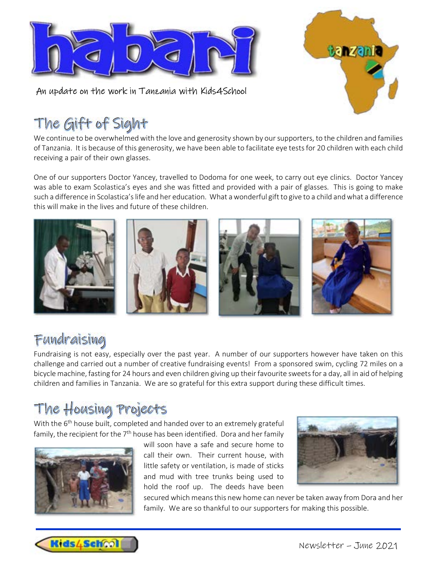

An update on the work in Tanzania with Kids4School



## The Gift of Sight

We continue to be overwhelmed with the love and generosity shown by our supporters, to the children and families of Tanzania. It is because of this generosity, we have been able to facilitate eye tests for 20 children with each child receiving a pair of their own glasses.

One of our supporters Doctor Yancey, travelled to Dodoma for one week, to carry out eye clinics. Doctor Yancey was able to exam Scolastica's eyes and she was fitted and provided with a pair of glasses. This is going to make such a difference in Scolastica's life and her education. What a wonderful gift to give to a child and what a difference this will make in the lives and future of these children.



### Fundraising

Fundraising is not easy, especially over the past year. A number of our supporters however have taken on this challenge and carried out a number of creative fundraising events! From a sponsored swim, cycling 72 miles on a bicycle machine, fasting for 24 hours and even children giving up their favourite sweets for a day, all in aid of helping children and families in Tanzania. We are so grateful for this extra support during these difficult times.

# The Housing Projects<br>With the 6<sup>th</sup> house built, completed and handed over to an extremely grateful

family, the recipient for the 7<sup>th</sup> house has been identified. Dora and her family



will soon have a safe and secure home to call their own. Their current house, with little safety or ventilation, is made of sticks and mud with tree trunks being used to hold the roof up. The deeds have been

secured which means this new home can never be taken away from Dora and her family. We are so thankful to our supporters for making this possible.

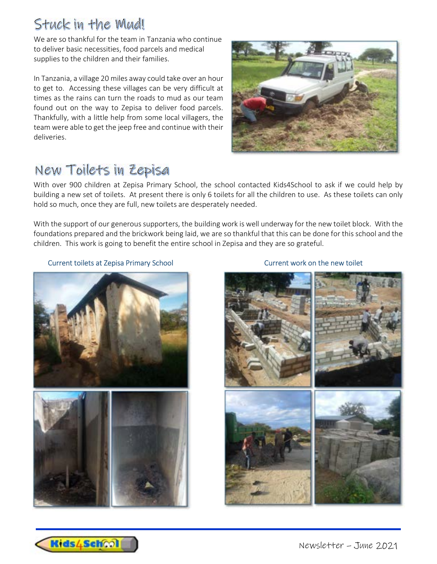### Stuck in the Mud!

We are so thankful for the team in Tanzania who continue to deliver basic necessities, food parcels and medical supplies to the children and their families.

In Tanzania, a village 20 miles away could take over an hour to get to. Accessing these villages can be very difficult at times as the rains can turn the roads to mud as our team found out on the way to Zepisa to deliver food parcels. Thankfully, with a little help from some local villagers, the team were able to get the jeep free and continue with their deliveries.



### New Toilets in Zepisa

With over 900 children at Zepisa Primary School, the school contacted Kids4School to ask if we could help by building a new set of toilets. At present there is only 6 toilets for all the children to use. As these toilets can only hold so much, once they are full, new toilets are desperately needed.

With the support of our generous supporters, the building work is well underway for the new toilet block. With the foundations prepared and the brickwork being laid, we are so thankful that this can be done for this school and the children. This work is going to benefit the entire school in Zepisa and they are so grateful.

### Current toilets at Zepisa Primary School Current work on the new toilet







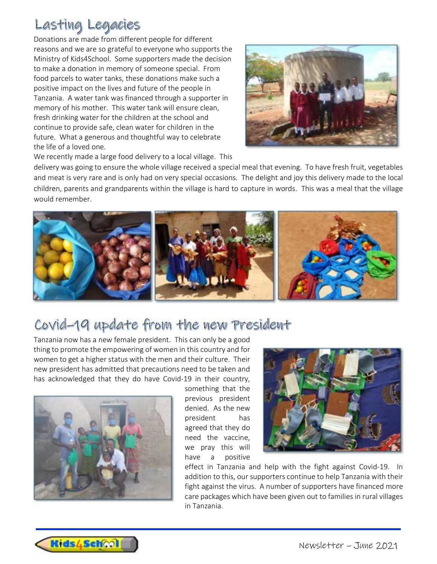### Lasting Legacies

Donations are made from different people for different reasons and we are so grateful to everyone who supports the Ministry of Kids4School. Some supporters made the decision to make a donation in memory of someone special. From food parcels to water tanks, these donations make such a positive impact on the lives and future of the people in Tanzania. A water tank was financed through a supporter in memory of his mother. This water tank will ensure clean, fresh drinking water for the children at the school and continue to provide safe, clean water for children in the future. What a generous and thoughtful way to celebrate the life of a loved one.



We recently made a large food delivery to a local village. This

delivery was going to ensure the whole village received a special meal that evening. To have fresh fruit, vegetables and meat is very rare and is only had on very special occasions. The delight and joy this delivery made to the local children, parents and grandparents within the village is hard to capture in words. This was a meal that the village would remember.



### Covid-19 update from the new President

Tanzania now has a new female president. This can only be a good thing to promote the empowering of women in this country and for women to get a higher status with the men and their culture. Their new president has admitted that precautions need to be taken and has acknowledged that they do have Covid-19 in their country,



something that the previous president denied. As the new president has agreed that they do need the vaccine, we pray this will have a positive



effect in Tanzania and help with the fight against Covid-19. In addition to this, our supporters continue to help Tanzania with their fight against the virus. A number of supporters have financed more care packages which have been given out to families in rural villages in Tanzania.